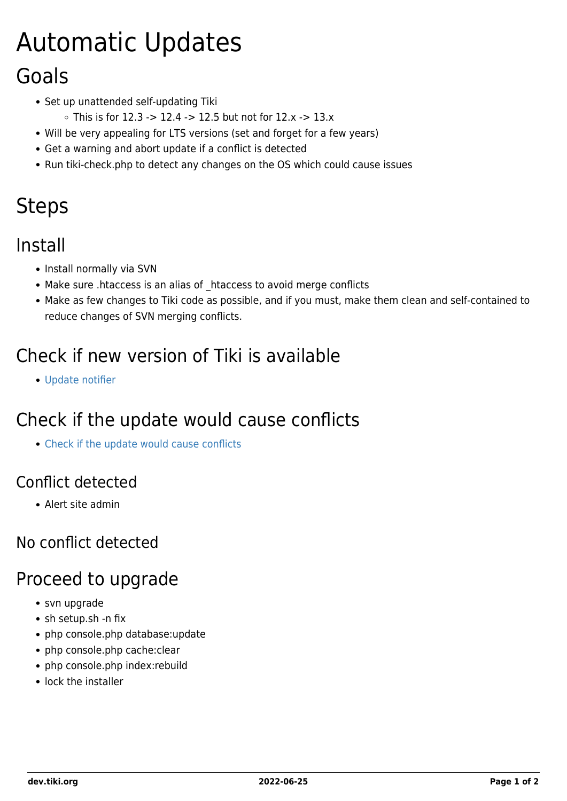# Automatic Updates

# Goals

- Set up unattended self-updating Tiki
	- This is for 12.3 -> 12.4 -> 12.5 but not for  $12.x -> 13.x$
- Will be very appealing for LTS versions (set and forget for a few years)
- Get a warning and abort update if a conflict is detected
- Run tiki-check.php to detect any changes on the OS which could cause issues

# **Steps**

### Install

- Install normally via SVN
- Make sure .htaccess is an alias of \_htaccess to avoid merge conflicts
- Make as few changes to Tiki code as possible, and if you must, make them clean and self-contained to reduce changes of SVN merging conflicts.

## Check if new version of Tiki is available

[Update notifier](https://dev.tiki.org/Update-notifier)

# Check if the update would cause conflicts

[Check if the update would cause conflicts](https://dev.tiki.org/Check-if-the-update-would-cause-conflicts)

#### Conflict detected

Alert site admin

#### No conflict detected

### Proceed to upgrade

- svn upgrade
- sh setup.sh -n fix
- php console.php database:update
- php console.php cache:clear
- php console.php index:rebuild
- lock the installer